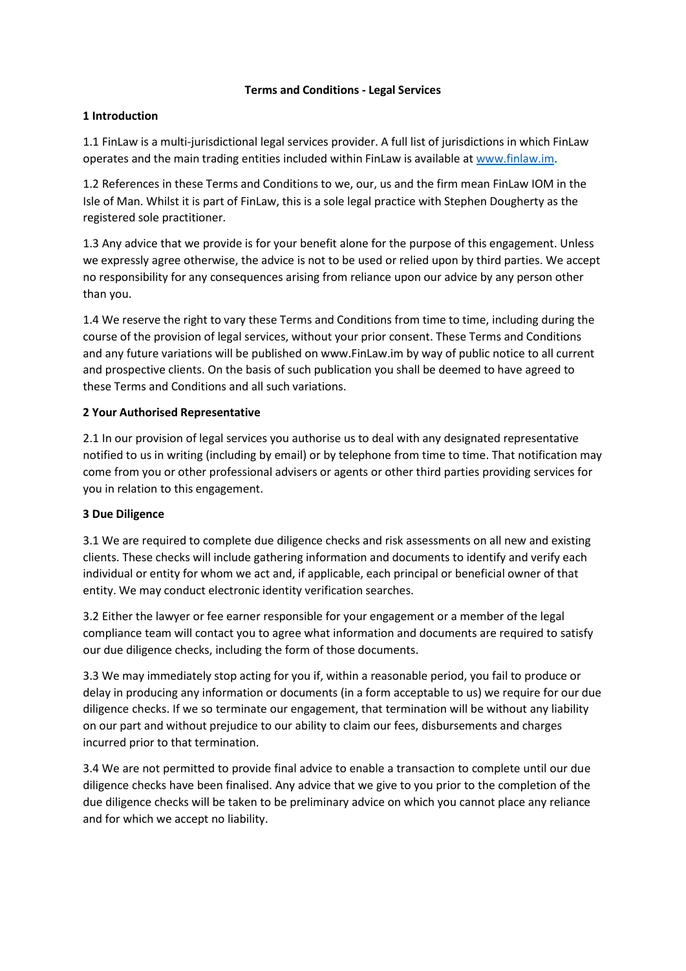### **Terms and Conditions - Legal Services**

### **1 Introduction**

1.1 FinLaw is a multi-jurisdictional legal services provider. A full list of jurisdictions in which FinLaw operates and the main trading entities included within FinLaw is available at [www.finlaw.im.](http://www.finlaw.im/)

1.2 References in these Terms and Conditions to we, our, us and the firm mean FinLaw IOM in the Isle of Man. Whilst it is part of FinLaw, this is a sole legal practice with Stephen Dougherty as the registered sole practitioner.

1.3 Any advice that we provide is for your benefit alone for the purpose of this engagement. Unless we expressly agree otherwise, the advice is not to be used or relied upon by third parties. We accept no responsibility for any consequences arising from reliance upon our advice by any person other than you.

1.4 We reserve the right to vary these Terms and Conditions from time to time, including during the course of the provision of legal services, without your prior consent. These Terms and Conditions and any future variations will be published o[n www.FinLaw.im b](http://www.finlaw.im/)y way of public notice to all current and prospective clients. On the basis of such publication you shall be deemed to have agreed to these Terms and Conditions and all such variations.

### **2 Your Authorised Representative**

2.1 In our provision of legal services you authorise us to deal with any designated representative notified to us in writing (including by email) or by telephone from time to time. That notification may come from you or other professional advisers or agents or other third parties providing services for you in relation to this engagement.

# **3 Due Diligence**

3.1 We are required to complete due diligence checks and risk assessments on all new and existing clients. These checks will include gathering information and documents to identify and verify each individual or entity for whom we act and, if applicable, each principal or beneficial owner of that entity. We may conduct electronic identity verification searches.

3.2 Either the lawyer or fee earner responsible for your engagement or a member of the legal compliance team will contact you to agree what information and documents are required to satisfy our due diligence checks, including the form of those documents.

3.3 We may immediately stop acting for you if, within a reasonable period, you fail to produce or delay in producing any information or documents (in a form acceptable to us) we require for our due diligence checks. If we so terminate our engagement, that termination will be without any liability on our part and without prejudice to our ability to claim our fees, disbursements and charges incurred prior to that termination.

3.4 We are not permitted to provide final advice to enable a transaction to complete until our due diligence checks have been finalised. Any advice that we give to you prior to the completion of the due diligence checks will be taken to be preliminary advice on which you cannot place any reliance and for which we accept no liability.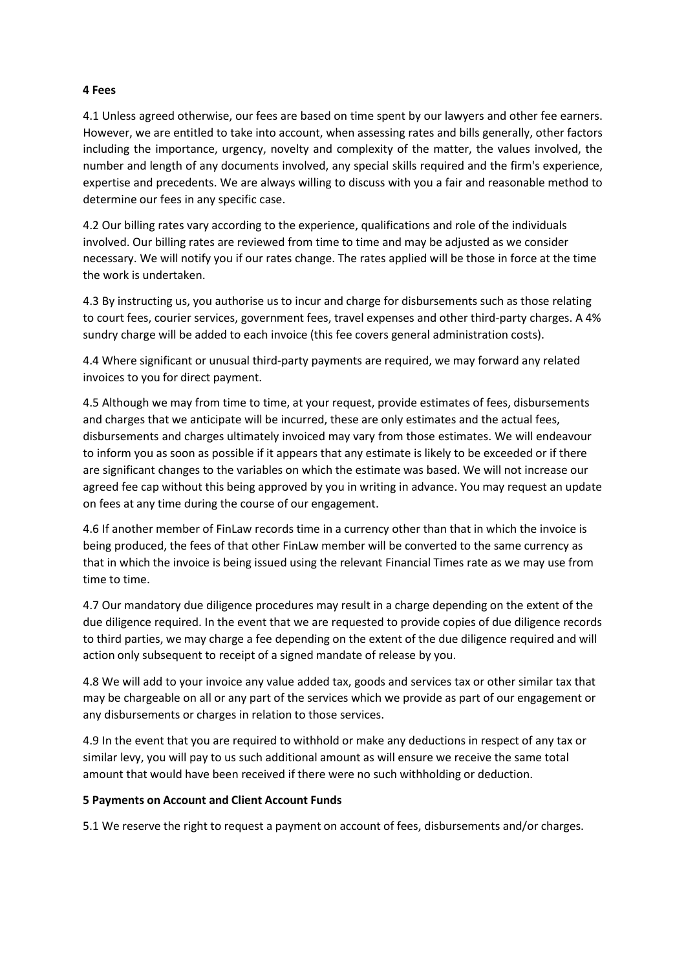#### **4 Fees**

4.1 Unless agreed otherwise, our fees are based on time spent by our lawyers and other fee earners. However, we are entitled to take into account, when assessing rates and bills generally, other factors including the importance, urgency, novelty and complexity of the matter, the values involved, the number and length of any documents involved, any special skills required and the firm's experience, expertise and precedents. We are always willing to discuss with you a fair and reasonable method to determine our fees in any specific case.

4.2 Our billing rates vary according to the experience, qualifications and role of the individuals involved. Our billing rates are reviewed from time to time and may be adjusted as we consider necessary. We will notify you if our rates change. The rates applied will be those in force at the time the work is undertaken.

4.3 By instructing us, you authorise us to incur and charge for disbursements such as those relating to court fees, courier services, government fees, travel expenses and other third-party charges. A 4% sundry charge will be added to each invoice (this fee covers general administration costs).

4.4 Where significant or unusual third-party payments are required, we may forward any related invoices to you for direct payment.

4.5 Although we may from time to time, at your request, provide estimates of fees, disbursements and charges that we anticipate will be incurred, these are only estimates and the actual fees, disbursements and charges ultimately invoiced may vary from those estimates. We will endeavour to inform you as soon as possible if it appears that any estimate is likely to be exceeded or if there are significant changes to the variables on which the estimate was based. We will not increase our agreed fee cap without this being approved by you in writing in advance. You may request an update on fees at any time during the course of our engagement.

4.6 If another member of FinLaw records time in a currency other than that in which the invoice is being produced, the fees of that other FinLaw member will be converted to the same currency as that in which the invoice is being issued using the relevant Financial Times rate as we may use from time to time.

4.7 Our mandatory due diligence procedures may result in a charge depending on the extent of the due diligence required. In the event that we are requested to provide copies of due diligence records to third parties, we may charge a fee depending on the extent of the due diligence required and will action only subsequent to receipt of a signed mandate of release by you.

4.8 We will add to your invoice any value added tax, goods and services tax or other similar tax that may be chargeable on all or any part of the services which we provide as part of our engagement or any disbursements or charges in relation to those services.

4.9 In the event that you are required to withhold or make any deductions in respect of any tax or similar levy, you will pay to us such additional amount as will ensure we receive the same total amount that would have been received if there were no such withholding or deduction.

#### **5 Payments on Account and Client Account Funds**

5.1 We reserve the right to request a payment on account of fees, disbursements and/or charges.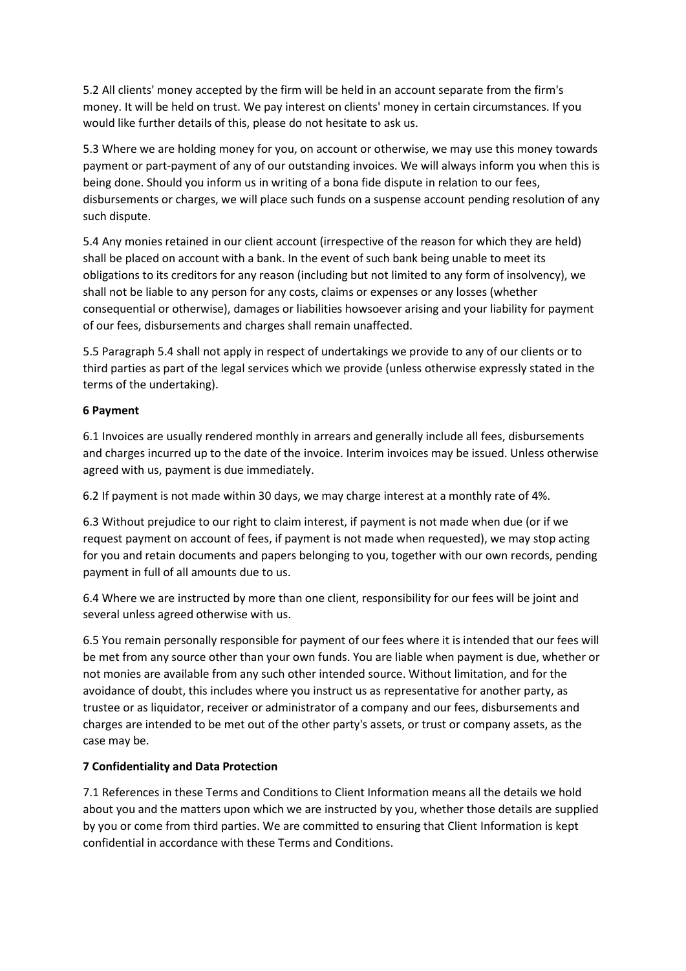5.2 All clients' money accepted by the firm will be held in an account separate from the firm's money. It will be held on trust. We pay interest on clients' money in certain circumstances. If you would like further details of this, please do not hesitate to ask us.

5.3 Where we are holding money for you, on account or otherwise, we may use this money towards payment or part-payment of any of our outstanding invoices. We will always inform you when this is being done. Should you inform us in writing of a bona fide dispute in relation to our fees, disbursements or charges, we will place such funds on a suspense account pending resolution of any such dispute.

5.4 Any monies retained in our client account (irrespective of the reason for which they are held) shall be placed on account with a bank. In the event of such bank being unable to meet its obligations to its creditors for any reason (including but not limited to any form of insolvency), we shall not be liable to any person for any costs, claims or expenses or any losses (whether consequential or otherwise), damages or liabilities howsoever arising and your liability for payment of our fees, disbursements and charges shall remain unaffected.

5.5 Paragraph 5.4 shall not apply in respect of undertakings we provide to any of our clients or to third parties as part of the legal services which we provide (unless otherwise expressly stated in the terms of the undertaking).

### **6 Payment**

6.1 Invoices are usually rendered monthly in arrears and generally include all fees, disbursements and charges incurred up to the date of the invoice. Interim invoices may be issued. Unless otherwise agreed with us, payment is due immediately.

6.2 If payment is not made within 30 days, we may charge interest at a monthly rate of 4%.

6.3 Without prejudice to our right to claim interest, if payment is not made when due (or if we request payment on account of fees, if payment is not made when requested), we may stop acting for you and retain documents and papers belonging to you, together with our own records, pending payment in full of all amounts due to us.

6.4 Where we are instructed by more than one client, responsibility for our fees will be joint and several unless agreed otherwise with us.

6.5 You remain personally responsible for payment of our fees where it is intended that our fees will be met from any source other than your own funds. You are liable when payment is due, whether or not monies are available from any such other intended source. Without limitation, and for the avoidance of doubt, this includes where you instruct us as representative for another party, as trustee or as liquidator, receiver or administrator of a company and our fees, disbursements and charges are intended to be met out of the other party's assets, or trust or company assets, as the case may be.

# **7 Confidentiality and Data Protection**

7.1 References in these Terms and Conditions to Client Information means all the details we hold about you and the matters upon which we are instructed by you, whether those details are supplied by you or come from third parties. We are committed to ensuring that Client Information is kept confidential in accordance with these Terms and Conditions.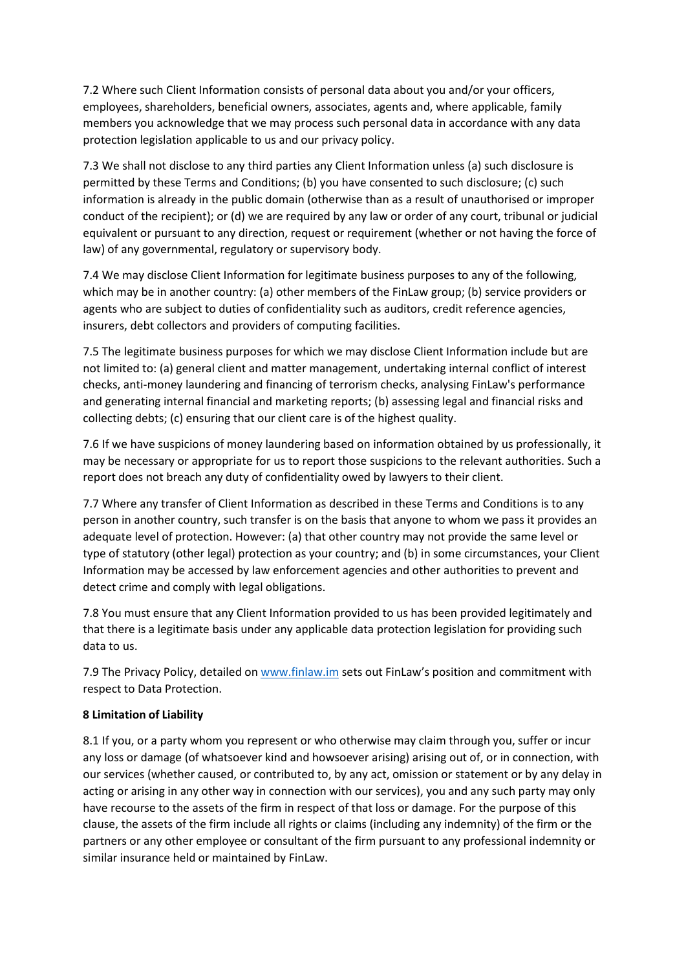7.2 Where such Client Information consists of personal data about you and/or your officers, employees, shareholders, beneficial owners, associates, agents and, where applicable, family members you acknowledge that we may process such personal data in accordance with any data protection legislation applicable to us and our privacy policy.

7.3 We shall not disclose to any third parties any Client Information unless (a) such disclosure is permitted by these Terms and Conditions; (b) you have consented to such disclosure; (c) such information is already in the public domain (otherwise than as a result of unauthorised or improper conduct of the recipient); or (d) we are required by any law or order of any court, tribunal or judicial equivalent or pursuant to any direction, request or requirement (whether or not having the force of law) of any governmental, regulatory or supervisory body.

7.4 We may disclose Client Information for legitimate business purposes to any of the following, which may be in another country: (a) other members of the FinLaw group; (b) service providers or agents who are subject to duties of confidentiality such as auditors, credit reference agencies, insurers, debt collectors and providers of computing facilities.

7.5 The legitimate business purposes for which we may disclose Client Information include but are not limited to: (a) general client and matter management, undertaking internal conflict of interest checks, anti-money laundering and financing of terrorism checks, analysing FinLaw's performance and generating internal financial and marketing reports; (b) assessing legal and financial risks and collecting debts; (c) ensuring that our client care is of the highest quality.

7.6 If we have suspicions of money laundering based on information obtained by us professionally, it may be necessary or appropriate for us to report those suspicions to the relevant authorities. Such a report does not breach any duty of confidentiality owed by lawyers to their client.

7.7 Where any transfer of Client Information as described in these Terms and Conditions is to any person in another country, such transfer is on the basis that anyone to whom we pass it provides an adequate level of protection. However: (a) that other country may not provide the same level or type of statutory (other legal) protection as your country; and (b) in some circumstances, your Client Information may be accessed by law enforcement agencies and other authorities to prevent and detect crime and comply with legal obligations.

7.8 You must ensure that any Client Information provided to us has been provided legitimately and that there is a legitimate basis under any applicable data protection legislation for providing such data to us.

7.9 The Privacy Policy, detailed on [www.finlaw.im](http://www.finlaw.im/) sets out FinLaw's position and commitment with respect to Data Protection.

# **8 Limitation of Liability**

8.1 If you, or a party whom you represent or who otherwise may claim through you, suffer or incur any loss or damage (of whatsoever kind and howsoever arising) arising out of, or in connection, with our services (whether caused, or contributed to, by any act, omission or statement or by any delay in acting or arising in any other way in connection with our services), you and any such party may only have recourse to the assets of the firm in respect of that loss or damage. For the purpose of this clause, the assets of the firm include all rights or claims (including any indemnity) of the firm or the partners or any other employee or consultant of the firm pursuant to any professional indemnity or similar insurance held or maintained by FinLaw.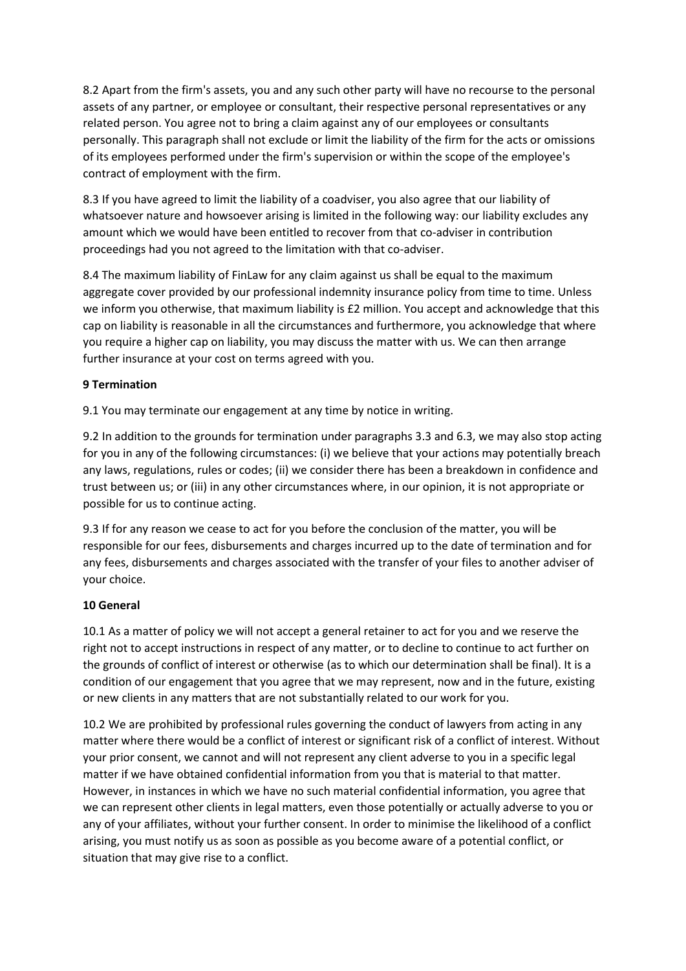8.2 Apart from the firm's assets, you and any such other party will have no recourse to the personal assets of any partner, or employee or consultant, their respective personal representatives or any related person. You agree not to bring a claim against any of our employees or consultants personally. This paragraph shall not exclude or limit the liability of the firm for the acts or omissions of its employees performed under the firm's supervision or within the scope of the employee's contract of employment with the firm.

8.3 If you have agreed to limit the liability of a coadviser, you also agree that our liability of whatsoever nature and howsoever arising is limited in the following way: our liability excludes any amount which we would have been entitled to recover from that co-adviser in contribution proceedings had you not agreed to the limitation with that co-adviser.

8.4 The maximum liability of FinLaw for any claim against us shall be equal to the maximum aggregate cover provided by our professional indemnity insurance policy from time to time. Unless we inform you otherwise, that maximum liability is £2 million. You accept and acknowledge that this cap on liability is reasonable in all the circumstances and furthermore, you acknowledge that where you require a higher cap on liability, you may discuss the matter with us. We can then arrange further insurance at your cost on terms agreed with you.

# **9 Termination**

9.1 You may terminate our engagement at any time by notice in writing.

9.2 In addition to the grounds for termination under paragraphs 3.3 and 6.3, we may also stop acting for you in any of the following circumstances: (i) we believe that your actions may potentially breach any laws, regulations, rules or codes; (ii) we consider there has been a breakdown in confidence and trust between us; or (iii) in any other circumstances where, in our opinion, it is not appropriate or possible for us to continue acting.

9.3 If for any reason we cease to act for you before the conclusion of the matter, you will be responsible for our fees, disbursements and charges incurred up to the date of termination and for any fees, disbursements and charges associated with the transfer of your files to another adviser of your choice.

# **10 General**

10.1 As a matter of policy we will not accept a general retainer to act for you and we reserve the right not to accept instructions in respect of any matter, or to decline to continue to act further on the grounds of conflict of interest or otherwise (as to which our determination shall be final). It is a condition of our engagement that you agree that we may represent, now and in the future, existing or new clients in any matters that are not substantially related to our work for you.

10.2 We are prohibited by professional rules governing the conduct of lawyers from acting in any matter where there would be a conflict of interest or significant risk of a conflict of interest. Without your prior consent, we cannot and will not represent any client adverse to you in a specific legal matter if we have obtained confidential information from you that is material to that matter. However, in instances in which we have no such material confidential information, you agree that we can represent other clients in legal matters, even those potentially or actually adverse to you or any of your affiliates, without your further consent. In order to minimise the likelihood of a conflict arising, you must notify us as soon as possible as you become aware of a potential conflict, or situation that may give rise to a conflict.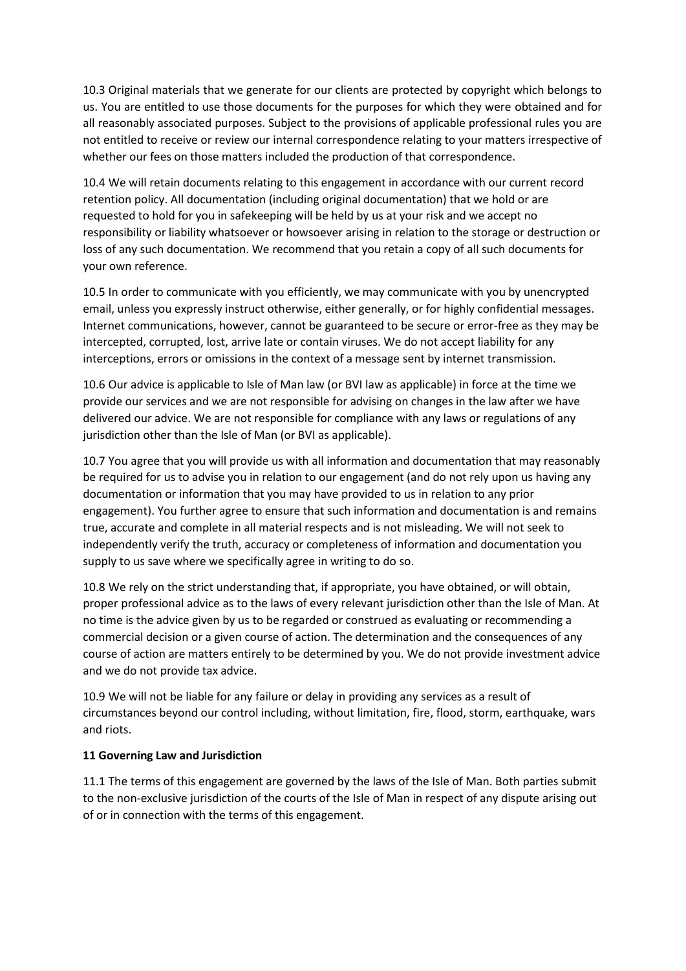10.3 Original materials that we generate for our clients are protected by copyright which belongs to us. You are entitled to use those documents for the purposes for which they were obtained and for all reasonably associated purposes. Subject to the provisions of applicable professional rules you are not entitled to receive or review our internal correspondence relating to your matters irrespective of whether our fees on those matters included the production of that correspondence.

10.4 We will retain documents relating to this engagement in accordance with our current record retention policy. All documentation (including original documentation) that we hold or are requested to hold for you in safekeeping will be held by us at your risk and we accept no responsibility or liability whatsoever or howsoever arising in relation to the storage or destruction or loss of any such documentation. We recommend that you retain a copy of all such documents for your own reference.

10.5 In order to communicate with you efficiently, we may communicate with you by unencrypted email, unless you expressly instruct otherwise, either generally, or for highly confidential messages. Internet communications, however, cannot be guaranteed to be secure or error-free as they may be intercepted, corrupted, lost, arrive late or contain viruses. We do not accept liability for any interceptions, errors or omissions in the context of a message sent by internet transmission.

10.6 Our advice is applicable to Isle of Man law (or BVI law as applicable) in force at the time we provide our services and we are not responsible for advising on changes in the law after we have delivered our advice. We are not responsible for compliance with any laws or regulations of any jurisdiction other than the Isle of Man (or BVI as applicable).

10.7 You agree that you will provide us with all information and documentation that may reasonably be required for us to advise you in relation to our engagement (and do not rely upon us having any documentation or information that you may have provided to us in relation to any prior engagement). You further agree to ensure that such information and documentation is and remains true, accurate and complete in all material respects and is not misleading. We will not seek to independently verify the truth, accuracy or completeness of information and documentation you supply to us save where we specifically agree in writing to do so.

10.8 We rely on the strict understanding that, if appropriate, you have obtained, or will obtain, proper professional advice as to the laws of every relevant jurisdiction other than the Isle of Man. At no time is the advice given by us to be regarded or construed as evaluating or recommending a commercial decision or a given course of action. The determination and the consequences of any course of action are matters entirely to be determined by you. We do not provide investment advice and we do not provide tax advice.

10.9 We will not be liable for any failure or delay in providing any services as a result of circumstances beyond our control including, without limitation, fire, flood, storm, earthquake, wars and riots.

#### **11 Governing Law and Jurisdiction**

11.1 The terms of this engagement are governed by the laws of the Isle of Man. Both parties submit to the non-exclusive jurisdiction of the courts of the Isle of Man in respect of any dispute arising out of or in connection with the terms of this engagement.